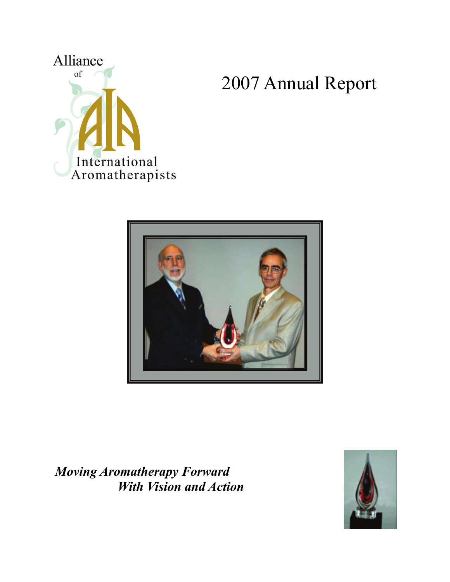

2007 Annual Report



*Moving Aromatherapy Forward With Vision and Action* 

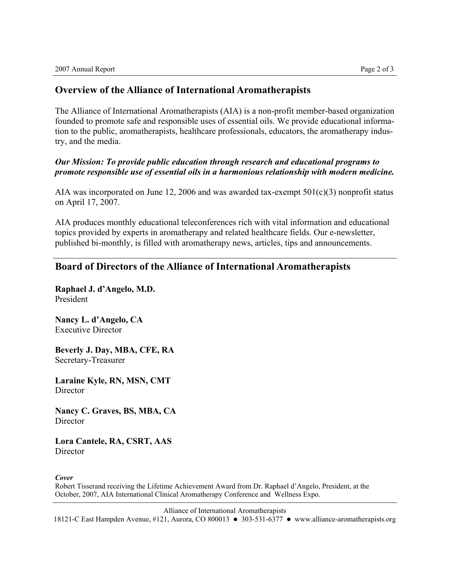## **Overview of the Alliance of International Aromatherapists**

The Alliance of International Aromatherapists (AIA) is a non-profit member-based organization founded to promote safe and responsible uses of essential oils. We provide educational information to the public, aromatherapists, healthcare professionals, educators, the aromatherapy industry, and the media.

## *Our Mission: To provide public education through research and educational programs to promote responsible use of essential oils in a harmonious relationship with modern medicine.*

AIA was incorporated on June 12, 2006 and was awarded tax-exempt  $501(c)(3)$  nonprofit status on April 17, 2007.

AIA produces monthly educational teleconferences rich with vital information and educational topics provided by experts in aromatherapy and related healthcare fields. Our e-newsletter, published bi-monthly, is filled with aromatherapy news, articles, tips and announcements.

## **Board of Directors of the Alliance of International Aromatherapists**

**Raphael J. d'Angelo, M.D.**  President

**Nancy L. d'Angelo, CA**  Executive Director

**Beverly J. Day, MBA, CFE, RA**  Secretary-Treasurer

**Laraine Kyle, RN, MSN, CMT Director** 

**Nancy C. Graves, BS, MBA, CA Director** 

**Lora Cantele, RA, CSRT, AAS**  Director

*Cover* 

Robert Tisserand receiving the Lifetime Achievement Award from Dr. Raphael d'Angelo, President, at the October, 2007, AIA International Clinical Aromatherapy Conference and Wellness Expo.

Alliance of International Aromatherapists

18121-C East Hampden Avenue, #121, Aurora, CO 800013 • 303-531-6377 • www.alliance-aromatherapists.org